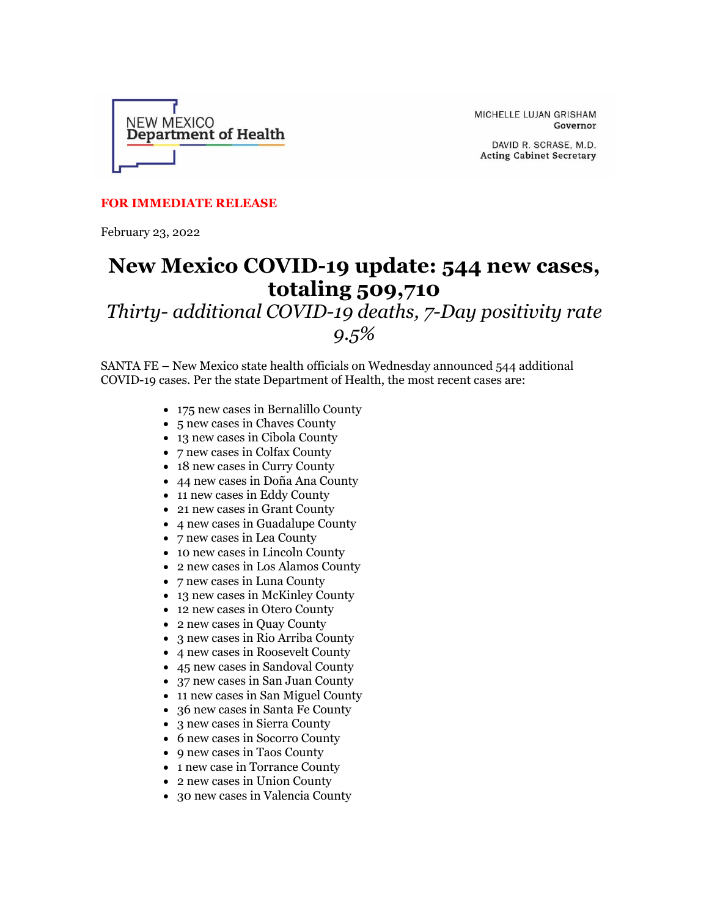

MICHELLE LUJAN GRISHAM Governor

DAVID R. SCRASE, M.D. **Acting Cabinet Secretary** 

## **FOR IMMEDIATE RELEASE**

February 23, 2022

## **New Mexico COVID-19 update: 544 new cases, totaling 509,710**

## *Thirty- additional COVID-19 deaths, 7-Day positivity rate 9.5%*

SANTA FE – New Mexico state health officials on Wednesday announced 544 additional COVID-19 cases. Per the state Department of Health, the most recent cases are:

- 175 new cases in Bernalillo County
- 5 new cases in Chaves County
- 13 new cases in Cibola County
- 7 new cases in Colfax County
- 18 new cases in Curry County
- 44 new cases in Doña Ana County
- 11 new cases in Eddy County
- 21 new cases in Grant County
- 4 new cases in Guadalupe County
- 7 new cases in Lea County
- 10 new cases in Lincoln County
- 2 new cases in Los Alamos County
- 7 new cases in Luna County
- 13 new cases in McKinley County
- 12 new cases in Otero County
- 2 new cases in Quay County
- 3 new cases in Rio Arriba County
- 4 new cases in Roosevelt County
- 45 new cases in Sandoval County
- 37 new cases in San Juan County
- 11 new cases in San Miguel County
- 36 new cases in Santa Fe County
- 3 new cases in Sierra County
- 6 new cases in Socorro County
- 9 new cases in Taos County
- 1 new case in Torrance County
- 2 new cases in Union County
- 30 new cases in Valencia County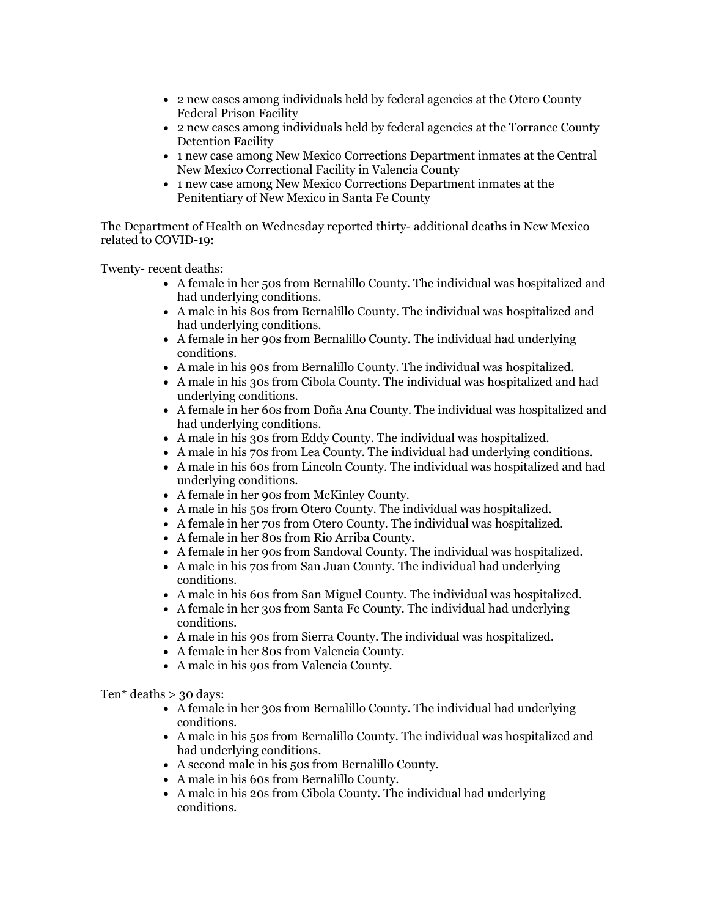- 2 new cases among individuals held by federal agencies at the Otero County Federal Prison Facility
- 2 new cases among individuals held by federal agencies at the Torrance County Detention Facility
- 1 new case among New Mexico Corrections Department inmates at the Central New Mexico Correctional Facility in Valencia County
- 1 new case among New Mexico Corrections Department inmates at the Penitentiary of New Mexico in Santa Fe County

The Department of Health on Wednesday reported thirty- additional deaths in New Mexico related to COVID-19:

Twenty- recent deaths:

- A female in her 50s from Bernalillo County. The individual was hospitalized and had underlying conditions.
- A male in his 80s from Bernalillo County. The individual was hospitalized and had underlying conditions.
- A female in her 90s from Bernalillo County. The individual had underlying conditions.
- A male in his 90s from Bernalillo County. The individual was hospitalized.
- A male in his 30s from Cibola County. The individual was hospitalized and had underlying conditions.
- A female in her 60s from Doña Ana County. The individual was hospitalized and had underlying conditions.
- A male in his 30s from Eddy County. The individual was hospitalized.
- A male in his 70s from Lea County. The individual had underlying conditions.
- A male in his 60s from Lincoln County. The individual was hospitalized and had underlying conditions.
- A female in her 90s from McKinley County.
- A male in his 50s from Otero County. The individual was hospitalized.
- A female in her 70s from Otero County. The individual was hospitalized.
- A female in her 80s from Rio Arriba County.
- A female in her 90s from Sandoval County. The individual was hospitalized.
- A male in his 70s from San Juan County. The individual had underlying conditions.
- A male in his 60s from San Miguel County. The individual was hospitalized.
- A female in her 30s from Santa Fe County. The individual had underlying conditions.
- A male in his 90s from Sierra County. The individual was hospitalized.
- A female in her 80s from Valencia County.
- A male in his 90s from Valencia County.

Ten\* deaths > 30 days:

- A female in her 30s from Bernalillo County. The individual had underlying conditions.
- A male in his 50s from Bernalillo County. The individual was hospitalized and had underlying conditions.
- A second male in his 50s from Bernalillo County.
- A male in his 60s from Bernalillo County.
- A male in his 20s from Cibola County. The individual had underlying conditions.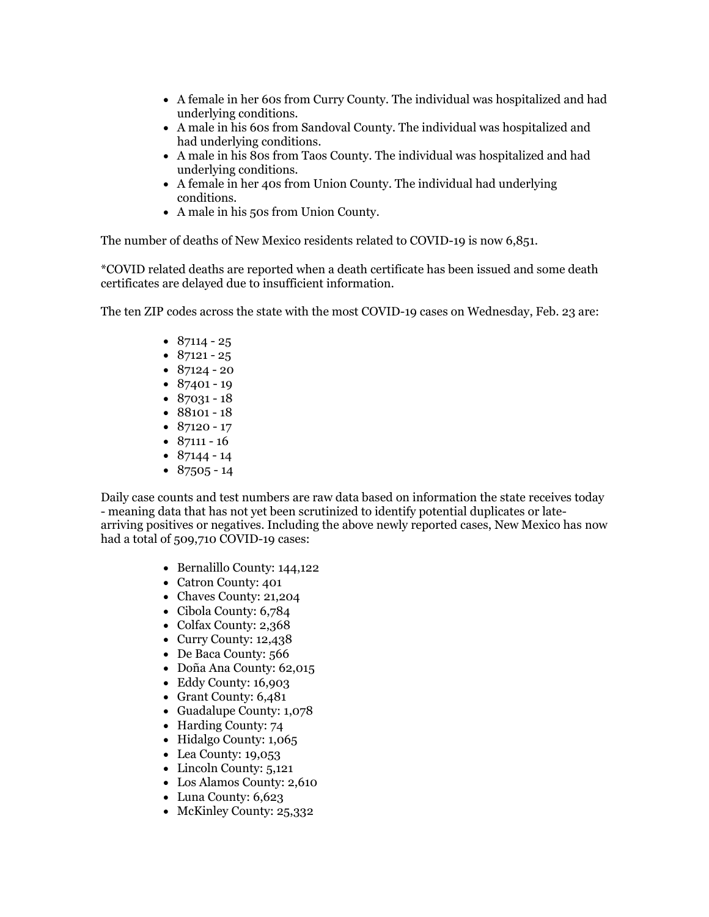- A female in her 60s from Curry County. The individual was hospitalized and had underlying conditions.
- A male in his 60s from Sandoval County. The individual was hospitalized and had underlying conditions.
- A male in his 80s from Taos County. The individual was hospitalized and had underlying conditions.
- A female in her 40s from Union County. The individual had underlying conditions.
- A male in his 50s from Union County.

The number of deaths of New Mexico residents related to COVID-19 is now 6,851.

\*COVID related deaths are reported when a death certificate has been issued and some death certificates are delayed due to insufficient information.

The ten ZIP codes across the state with the most COVID-19 cases on Wednesday, Feb. 23 are:

- $87114 25$
- $87121 25$
- $87124 20$
- $87401 19$
- $87031 18$
- 88101 18
- 87120 17
- $87111 16$
- $87144 14$
- $\bullet$  87505 14

Daily case counts and test numbers are raw data based on information the state receives today - meaning data that has not yet been scrutinized to identify potential duplicates or latearriving positives or negatives. Including the above newly reported cases, New Mexico has now had a total of 509,710 COVID-19 cases:

- Bernalillo County: 144,122
- Catron County: 401
- Chaves County: 21,204
- Cibola County: 6,784
- Colfax County: 2,368
- Curry County: 12,438
- De Baca County: 566
- Doña Ana County: 62,015
- Eddy County: 16,903
- Grant County: 6,481
- Guadalupe County: 1,078
- Harding County: 74
- Hidalgo County: 1,065
- Lea County: 19,053
- Lincoln County: 5,121
- Los Alamos County: 2,610
- Luna County: 6,623
- McKinley County: 25,332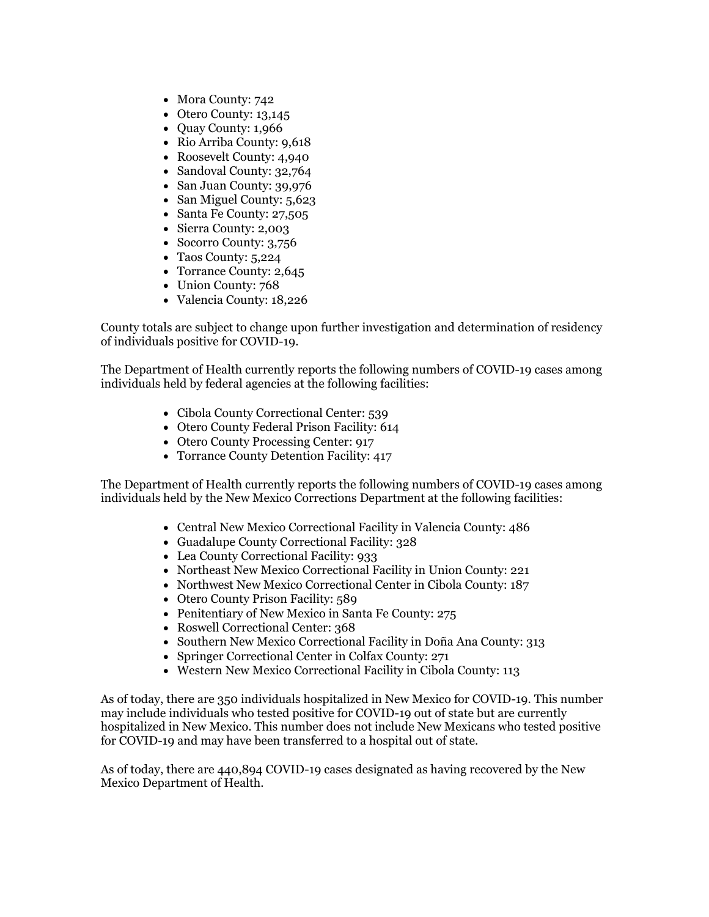- Mora County: 742
- Otero County: 13,145
- Quay County: 1,966
- Rio Arriba County: 9,618
- Roosevelt County: 4,940
- Sandoval County: 32,764
- San Juan County: 39,976
- San Miguel County: 5,623
- Santa Fe County: 27,505
- Sierra County: 2,003
- Socorro County: 3,756
- Taos County: 5,224
- Torrance County: 2,645
- Union County: 768
- Valencia County: 18,226

County totals are subject to change upon further investigation and determination of residency of individuals positive for COVID-19.

The Department of Health currently reports the following numbers of COVID-19 cases among individuals held by federal agencies at the following facilities:

- Cibola County Correctional Center: 539
- Otero County Federal Prison Facility: 614
- Otero County Processing Center: 917
- Torrance County Detention Facility: 417

The Department of Health currently reports the following numbers of COVID-19 cases among individuals held by the New Mexico Corrections Department at the following facilities:

- Central New Mexico Correctional Facility in Valencia County: 486
- Guadalupe County Correctional Facility: 328
- Lea County Correctional Facility: 933
- Northeast New Mexico Correctional Facility in Union County: 221
- Northwest New Mexico Correctional Center in Cibola County: 187
- Otero County Prison Facility: 589
- Penitentiary of New Mexico in Santa Fe County: 275
- Roswell Correctional Center: 368
- Southern New Mexico Correctional Facility in Doña Ana County: 313
- Springer Correctional Center in Colfax County: 271
- Western New Mexico Correctional Facility in Cibola County: 113

As of today, there are 350 individuals hospitalized in New Mexico for COVID-19. This number may include individuals who tested positive for COVID-19 out of state but are currently hospitalized in New Mexico. This number does not include New Mexicans who tested positive for COVID-19 and may have been transferred to a hospital out of state.

As of today, there are 440,894 COVID-19 cases designated as having recovered by the New Mexico Department of Health.